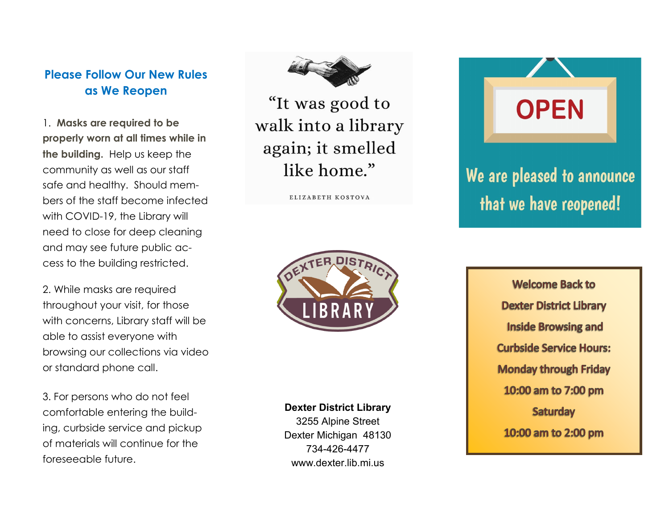## **Please Follow Our New Rules as We Reopen**

1. **Masks are required to be properly worn at all times while in the building.** Help us keep the community as well as our staff safe and healthy. Should members of the staff become infected with COVID-19, the Library will need to close for deep cleaning and may see future public access to the building restricted.

2. While masks are required throughout your visit, for those with concerns, Library staff will be able to assist everyone with browsing our collections via video or standard phone call.

3. For persons who do not feel comfortable entering the building, curbside service and pickup of materials will continue for the foreseeable future.

"It was good to walk into a library again; it smelled like home."

ELIZABETH KOSTOVA



## **Dexter District Library**

3255 Alpine Street Dexter Michigan 48130 734-426-4477 www.dexter.lib.mi.us

**OPEN** 

We are pleased to announce that we have reopened!

> **Welcome Back to Dexter District Library Inside Browsing and Curbside Service Hours: Monday through Friday** 10:00 am to 7:00 pm **Saturday** 10:00 am to 2:00 pm